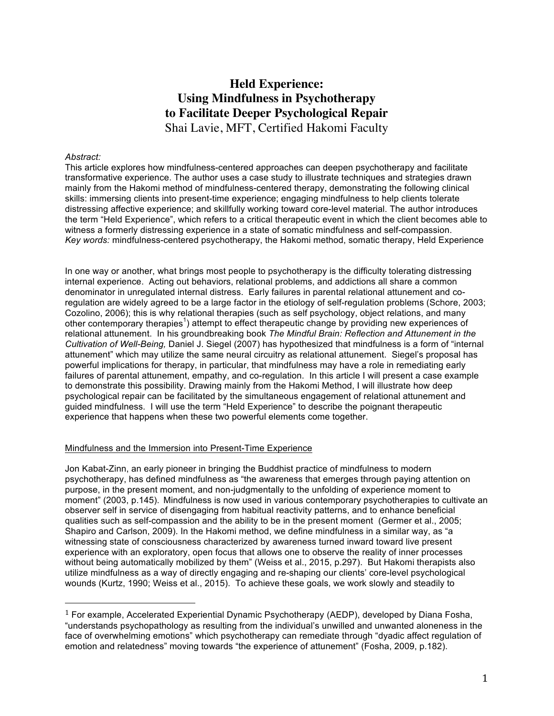# **Held Experience: Using Mindfulness in Psychotherapy to Facilitate Deeper Psychological Repair**  Shai Lavie, MFT, Certified Hakomi Faculty

## *Abstract:*

This article explores how mindfulness-centered approaches can deepen psychotherapy and facilitate transformative experience. The author uses a case study to illustrate techniques and strategies drawn mainly from the Hakomi method of mindfulness-centered therapy, demonstrating the following clinical skills: immersing clients into present-time experience; engaging mindfulness to help clients tolerate distressing affective experience; and skillfully working toward core-level material. The author introduces the term "Held Experience", which refers to a critical therapeutic event in which the client becomes able to witness a formerly distressing experience in a state of somatic mindfulness and self-compassion. *Key words:* mindfulness-centered psychotherapy, the Hakomi method, somatic therapy, Held Experience

In one way or another, what brings most people to psychotherapy is the difficulty tolerating distressing internal experience. Acting out behaviors, relational problems, and addictions all share a common denominator in unregulated internal distress. Early failures in parental relational attunement and coregulation are widely agreed to be a large factor in the etiology of self-regulation problems (Schore, 2003; Cozolino, 2006); this is why relational therapies (such as self psychology, object relations, and many other contemporary therapies<sup>1</sup>) attempt to effect therapeutic change by providing new experiences of relational attunement. In his groundbreaking book *The Mindful Brain: Reflection and Attunement in the Cultivation of Well-Being,* Daniel J. Siegel (2007) has hypothesized that mindfulness is a form of "internal attunement" which may utilize the same neural circuitry as relational attunement. Siegel's proposal has powerful implications for therapy, in particular, that mindfulness may have a role in remediating early failures of parental attunement, empathy, and co-regulation. In this article I will present a case example to demonstrate this possibility. Drawing mainly from the Hakomi Method, I will illustrate how deep psychological repair can be facilitated by the simultaneous engagement of relational attunement and guided mindfulness. I will use the term "Held Experience" to describe the poignant therapeutic experience that happens when these two powerful elements come together.

## Mindfulness and the Immersion into Present-Time Experience

 

Jon Kabat-Zinn, an early pioneer in bringing the Buddhist practice of mindfulness to modern psychotherapy, has defined mindfulness as "the awareness that emerges through paying attention on purpose, in the present moment, and non-judgmentally to the unfolding of experience moment to moment" (2003, p.145). Mindfulness is now used in various contemporary psychotherapies to cultivate an observer self in service of disengaging from habitual reactivity patterns, and to enhance beneficial qualities such as self-compassion and the ability to be in the present moment (Germer et al., 2005; Shapiro and Carlson, 2009). In the Hakomi method, we define mindfulness in a similar way, as "a witnessing state of consciousness characterized by awareness turned inward toward live present experience with an exploratory, open focus that allows one to observe the reality of inner processes without being automatically mobilized by them" (Weiss et al., 2015, p.297). But Hakomi therapists also utilize mindfulness as a way of directly engaging and re-shaping our clients' core-level psychological wounds (Kurtz, 1990; Weiss et al., 2015). To achieve these goals, we work slowly and steadily to

<sup>&</sup>lt;sup>1</sup> For example, Accelerated Experiential Dynamic Psychotherapy (AEDP), developed by Diana Fosha, "understands psychopathology as resulting from the individual's unwilled and unwanted aloneness in the face of overwhelming emotions" which psychotherapy can remediate through "dyadic affect regulation of emotion and relatedness" moving towards "the experience of attunement" (Fosha, 2009, p.182).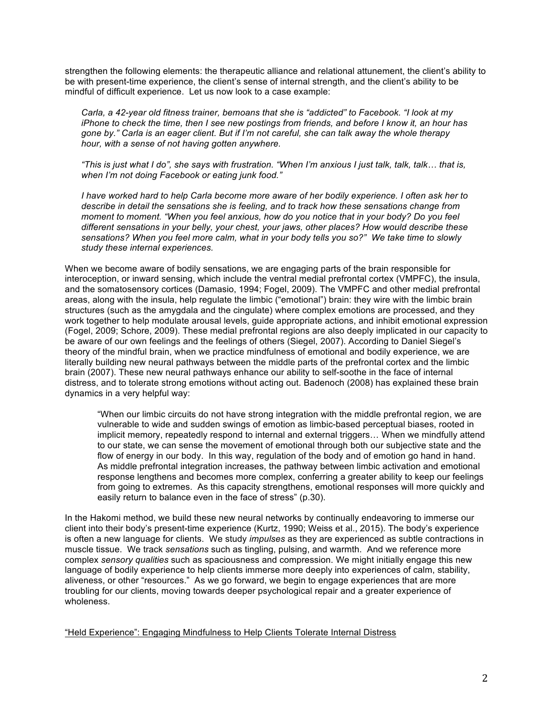strengthen the following elements: the therapeutic alliance and relational attunement, the client's ability to be with present-time experience, the client's sense of internal strength, and the client's ability to be mindful of difficult experience. Let us now look to a case example:

*Carla, a 42-year old fitness trainer, bemoans that she is "addicted" to Facebook. "I look at my iPhone to check the time, then I see new postings from friends, and before I know it, an hour has gone by." Carla is an eager client. But if I'm not careful, she can talk away the whole therapy hour, with a sense of not having gotten anywhere.*

*"This is just what I do", she says with frustration. "When I'm anxious I just talk, talk, talk… that is, when I'm not doing Facebook or eating junk food."*

*I have worked hard to help Carla become more aware of her bodily experience. I often ask her to describe in detail the sensations she is feeling, and to track how these sensations change from moment to moment. "When you feel anxious, how do you notice that in your body? Do you feel different sensations in your belly, your chest, your jaws, other places? How would describe these sensations? When you feel more calm, what in your body tells you so?" We take time to slowly study these internal experiences.*

When we become aware of bodily sensations, we are engaging parts of the brain responsible for interoception, or inward sensing, which include the ventral medial prefrontal cortex (VMPFC), the insula, and the somatosensory cortices (Damasio, 1994; Fogel, 2009). The VMPFC and other medial prefrontal areas, along with the insula, help regulate the limbic ("emotional") brain: they wire with the limbic brain structures (such as the amygdala and the cingulate) where complex emotions are processed, and they work together to help modulate arousal levels, guide appropriate actions, and inhibit emotional expression (Fogel, 2009; Schore, 2009). These medial prefrontal regions are also deeply implicated in our capacity to be aware of our own feelings and the feelings of others (Siegel, 2007). According to Daniel Siegel's theory of the mindful brain, when we practice mindfulness of emotional and bodily experience, we are literally building new neural pathways between the middle parts of the prefrontal cortex and the limbic brain (2007). These new neural pathways enhance our ability to self-soothe in the face of internal distress, and to tolerate strong emotions without acting out. Badenoch (2008) has explained these brain dynamics in a very helpful way:

"When our limbic circuits do not have strong integration with the middle prefrontal region, we are vulnerable to wide and sudden swings of emotion as limbic-based perceptual biases, rooted in implicit memory, repeatedly respond to internal and external triggers… When we mindfully attend to our state, we can sense the movement of emotional through both our subjective state and the flow of energy in our body. In this way, regulation of the body and of emotion go hand in hand. As middle prefrontal integration increases, the pathway between limbic activation and emotional response lengthens and becomes more complex, conferring a greater ability to keep our feelings from going to extremes. As this capacity strengthens, emotional responses will more quickly and easily return to balance even in the face of stress" (p.30).

In the Hakomi method, we build these new neural networks by continually endeavoring to immerse our client into their body's present-time experience (Kurtz, 1990; Weiss et al., 2015). The body's experience is often a new language for clients. We study *impulses* as they are experienced as subtle contractions in muscle tissue. We track *sensations* such as tingling, pulsing, and warmth. And we reference more complex *sensory qualities* such as spaciousness and compression. We might initially engage this new language of bodily experience to help clients immerse more deeply into experiences of calm, stability, aliveness, or other "resources." As we go forward, we begin to engage experiences that are more troubling for our clients, moving towards deeper psychological repair and a greater experience of wholeness.

"Held Experience": Engaging Mindfulness to Help Clients Tolerate Internal Distress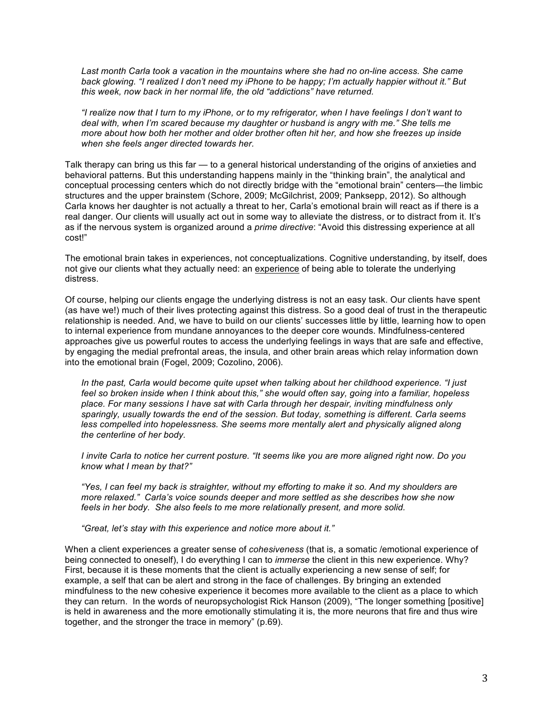*Last month Carla took a vacation in the mountains where she had no on-line access. She came back glowing. "I realized I don't need my iPhone to be happy; I'm actually happier without it." But this week, now back in her normal life, the old "addictions" have returned.*

*"I realize now that I turn to my iPhone, or to my refrigerator, when I have feelings I don't want to deal with, when I'm scared because my daughter or husband is angry with me." She tells me more about how both her mother and older brother often hit her, and how she freezes up inside when she feels anger directed towards her.*

Talk therapy can bring us this far — to a general historical understanding of the origins of anxieties and behavioral patterns. But this understanding happens mainly in the "thinking brain", the analytical and conceptual processing centers which do not directly bridge with the "emotional brain" centers—the limbic structures and the upper brainstem (Schore, 2009; McGilchrist, 2009; Panksepp, 2012). So although Carla knows her daughter is not actually a threat to her, Carla's emotional brain will react as if there is a real danger. Our clients will usually act out in some way to alleviate the distress, or to distract from it. It's as if the nervous system is organized around a *prime directive*: "Avoid this distressing experience at all cost!"

The emotional brain takes in experiences, not conceptualizations. Cognitive understanding, by itself, does not give our clients what they actually need: an experience of being able to tolerate the underlying distress.

Of course, helping our clients engage the underlying distress is not an easy task. Our clients have spent (as have we!) much of their lives protecting against this distress. So a good deal of trust in the therapeutic relationship is needed. And, we have to build on our clients' successes little by little, learning how to open to internal experience from mundane annoyances to the deeper core wounds. Mindfulness-centered approaches give us powerful routes to access the underlying feelings in ways that are safe and effective, by engaging the medial prefrontal areas, the insula, and other brain areas which relay information down into the emotional brain (Fogel, 2009; Cozolino, 2006).

*In the past, Carla would become quite upset when talking about her childhood experience. "I just feel so broken inside when I think about this," she would often say, going into a familiar, hopeless place. For many sessions I have sat with Carla through her despair, inviting mindfulness only sparingly, usually towards the end of the session. But today, something is different. Carla seems less compelled into hopelessness. She seems more mentally alert and physically aligned along the centerline of her body.*

*I invite Carla to notice her current posture. "It seems like you are more aligned right now. Do you know what I mean by that?"*

*"Yes, I can feel my back is straighter, without my efforting to make it so. And my shoulders are more relaxed." Carla's voice sounds deeper and more settled as she describes how she now feels in her body. She also feels to me more relationally present, and more solid.*

*"Great, let's stay with this experience and notice more about it."*

When a client experiences a greater sense of *cohesiveness* (that is, a somatic /emotional experience of being connected to oneself), I do everything I can to *immerse* the client in this new experience. Why? First, because it is these moments that the client is actually experiencing a new sense of self; for example, a self that can be alert and strong in the face of challenges. By bringing an extended mindfulness to the new cohesive experience it becomes more available to the client as a place to which they can return. In the words of neuropsychologist Rick Hanson (2009), "The longer something [positive] is held in awareness and the more emotionally stimulating it is, the more neurons that fire and thus wire together, and the stronger the trace in memory" (p.69).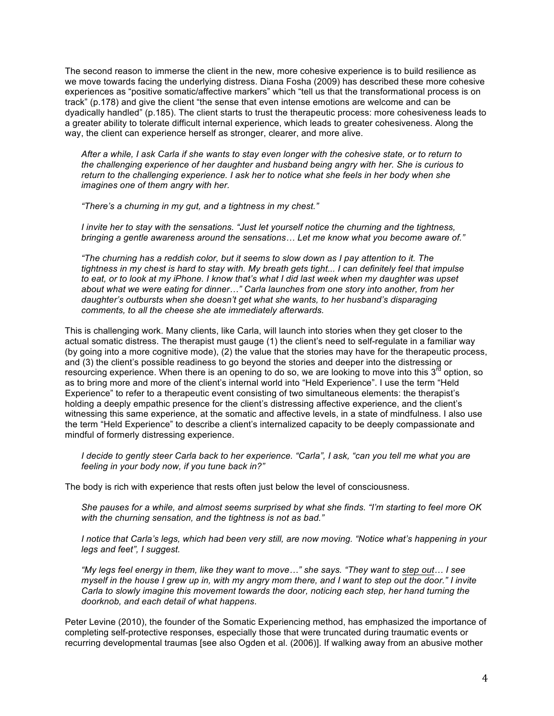The second reason to immerse the client in the new, more cohesive experience is to build resilience as we move towards facing the underlying distress. Diana Fosha (2009) has described these more cohesive experiences as "positive somatic/affective markers" which "tell us that the transformational process is on track" (p.178) and give the client "the sense that even intense emotions are welcome and can be dyadically handled" (p.185). The client starts to trust the therapeutic process: more cohesiveness leads to a greater ability to tolerate difficult internal experience, which leads to greater cohesiveness. Along the way, the client can experience herself as stronger, clearer, and more alive.

*After a while, I ask Carla if she wants to stay even longer with the cohesive state, or to return to the challenging experience of her daughter and husband being angry with her. She is curious to return to the challenging experience. I ask her to notice what she feels in her body when she imagines one of them angry with her.*

*"There's a churning in my gut, and a tightness in my chest."*

*I invite her to stay with the sensations. "Just let yourself notice the churning and the tightness, bringing a gentle awareness around the sensations… Let me know what you become aware of."*

*"The churning has a reddish color, but it seems to slow down as I pay attention to it. The tightness in my chest is hard to stay with. My breath gets tight... I can definitely feel that impulse to eat, or to look at my iPhone. I know that's what I did last week when my daughter was upset about what we were eating for dinner…" Carla launches from one story into another, from her daughter's outbursts when she doesn't get what she wants, to her husband's disparaging comments, to all the cheese she ate immediately afterwards.*

This is challenging work. Many clients, like Carla, will launch into stories when they get closer to the actual somatic distress. The therapist must gauge (1) the client's need to self-regulate in a familiar way (by going into a more cognitive mode), (2) the value that the stories may have for the therapeutic process, and (3) the client's possible readiness to go beyond the stories and deeper into the distressing or resourcing experience. When there is an opening to do so, we are looking to move into this  $3^{10}$  option, so as to bring more and more of the client's internal world into "Held Experience". I use the term "Held Experience" to refer to a therapeutic event consisting of two simultaneous elements: the therapist's holding a deeply empathic presence for the client's distressing affective experience, and the client's witnessing this same experience, at the somatic and affective levels, in a state of mindfulness. I also use the term "Held Experience" to describe a client's internalized capacity to be deeply compassionate and mindful of formerly distressing experience.

*I decide to gently steer Carla back to her experience. "Carla", I ask, "can you tell me what you are feeling in your body now, if you tune back in?"*

The body is rich with experience that rests often just below the level of consciousness.

*She pauses for a while, and almost seems surprised by what she finds. "I'm starting to feel more OK with the churning sensation, and the tightness is not as bad."*

*I notice that Carla's legs, which had been very still, are now moving. "Notice what's happening in your legs and feet", I suggest.*

*"My legs feel energy in them, like they want to move…" she says. "They want to step out… I see myself in the house I grew up in, with my angry mom there, and I want to step out the door." I invite Carla to slowly imagine this movement towards the door, noticing each step, her hand turning the doorknob, and each detail of what happens*.

Peter Levine (2010), the founder of the Somatic Experiencing method, has emphasized the importance of completing self-protective responses, especially those that were truncated during traumatic events or recurring developmental traumas [see also Ogden et al. (2006)]. If walking away from an abusive mother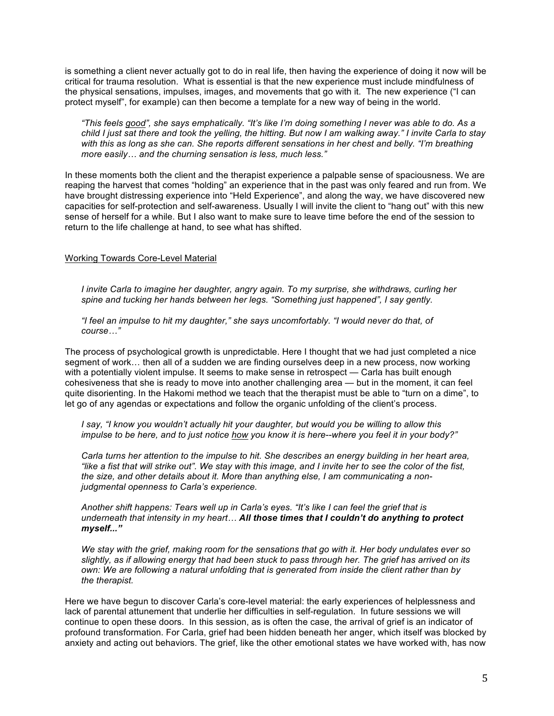is something a client never actually got to do in real life, then having the experience of doing it now will be critical for trauma resolution. What is essential is that the new experience must include mindfulness of the physical sensations, impulses, images, and movements that go with it. The new experience ("I can protect myself", for example) can then become a template for a new way of being in the world.

*"This feels good", she says emphatically. "It's like I'm doing something I never was able to do. As a child I just sat there and took the yelling, the hitting. But now I am walking away." I invite Carla to stay with this as long as she can. She reports different sensations in her chest and belly. "I'm breathing more easily… and the churning sensation is less, much less."*

In these moments both the client and the therapist experience a palpable sense of spaciousness. We are reaping the harvest that comes "holding" an experience that in the past was only feared and run from. We have brought distressing experience into "Held Experience", and along the way, we have discovered new capacities for self-protection and self-awareness. Usually I will invite the client to "hang out" with this new sense of herself for a while. But I also want to make sure to leave time before the end of the session to return to the life challenge at hand, to see what has shifted.

#### Working Towards Core-Level Material

*I invite Carla to imagine her daughter, angry again. To my surprise, she withdraws, curling her spine and tucking her hands between her legs. "Something just happened", I say gently.*

*"I feel an impulse to hit my daughter," she says uncomfortably. "I would never do that, of course…"* 

The process of psychological growth is unpredictable. Here I thought that we had just completed a nice segment of work… then all of a sudden we are finding ourselves deep in a new process, now working with a potentially violent impulse. It seems to make sense in retrospect — Carla has built enough cohesiveness that she is ready to move into another challenging area — but in the moment, it can feel quite disorienting. In the Hakomi method we teach that the therapist must be able to "turn on a dime", to let go of any agendas or expectations and follow the organic unfolding of the client's process.

*I say, "I know you wouldn't actually hit your daughter, but would you be willing to allow this impulse to be here, and to just notice how you know it is here--where you feel it in your body?"* 

*Carla turns her attention to the impulse to hit. She describes an energy building in her heart area, "like a fist that will strike out". We stay with this image, and I invite her to see the color of the fist, the size, and other details about it. More than anything else, I am communicating a nonjudgmental openness to Carla's experience.*

*Another shift happens: Tears well up in Carla's eyes. "It's like I can feel the grief that is underneath that intensity in my heart… All those times that I couldn't do anything to protect myself..."*

*We stay with the grief, making room for the sensations that go with it. Her body undulates ever so slightly, as if allowing energy that had been stuck to pass through her. The grief has arrived on its own: We are following a natural unfolding that is generated from inside the client rather than by the therapist.* 

Here we have begun to discover Carla's core-level material: the early experiences of helplessness and lack of parental attunement that underlie her difficulties in self-regulation. In future sessions we will continue to open these doors. In this session, as is often the case, the arrival of grief is an indicator of profound transformation. For Carla, grief had been hidden beneath her anger, which itself was blocked by anxiety and acting out behaviors. The grief, like the other emotional states we have worked with, has now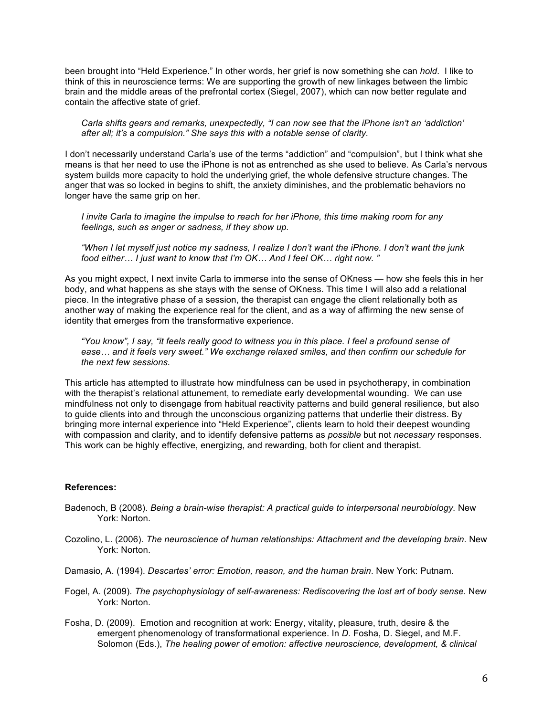been brought into "Held Experience." In other words, her grief is now something she can *hold*. I like to think of this in neuroscience terms: We are supporting the growth of new linkages between the limbic brain and the middle areas of the prefrontal cortex (Siegel, 2007), which can now better regulate and contain the affective state of grief.

*Carla shifts gears and remarks, unexpectedly, "I can now see that the iPhone isn't an 'addiction' after all; it's a compulsion." She says this with a notable sense of clarity.*

I don't necessarily understand Carla's use of the terms "addiction" and "compulsion", but I think what she means is that her need to use the iPhone is not as entrenched as she used to believe. As Carla's nervous system builds more capacity to hold the underlying grief, the whole defensive structure changes. The anger that was so locked in begins to shift, the anxiety diminishes, and the problematic behaviors no longer have the same grip on her.

*I invite Carla to imagine the impulse to reach for her iPhone, this time making room for any feelings, such as anger or sadness, if they show up.*

*"When I let myself just notice my sadness, I realize I don't want the iPhone. I don't want the junk food either… I just want to know that I'm OK… And I feel OK… right now. "*

As you might expect, I next invite Carla to immerse into the sense of OKness — how she feels this in her body, and what happens as she stays with the sense of OKness. This time I will also add a relational piece. In the integrative phase of a session, the therapist can engage the client relationally both as another way of making the experience real for the client, and as a way of affirming the new sense of identity that emerges from the transformative experience.

*"You know", I say, "it feels really good to witness you in this place. I feel a profound sense of ease… and it feels very sweet." We exchange relaxed smiles, and then confirm our schedule for the next few sessions.*

This article has attempted to illustrate how mindfulness can be used in psychotherapy, in combination with the therapist's relational attunement, to remediate early developmental wounding. We can use mindfulness not only to disengage from habitual reactivity patterns and build general resilience, but also to guide clients into and through the unconscious organizing patterns that underlie their distress. By bringing more internal experience into "Held Experience", clients learn to hold their deepest wounding with compassion and clarity, and to identify defensive patterns as *possible* but not *necessary* responses. This work can be highly effective, energizing, and rewarding, both for client and therapist.

#### **References:**

- Badenoch, B (2008). *Being a brain-wise therapist: A practical guide to interpersonal neurobiology.* New York: Norton.
- Cozolino, L. (2006). *The neuroscience of human relationships: Attachment and the developing brain.* New York: Norton.
- Damasio, A. (1994). *Descartes' error: Emotion, reason, and the human brain*. New York: Putnam.
- Fogel, A. (2009). *The psychophysiology of self-awareness: Rediscovering the lost art of body sense.* New York: Norton.
- Fosha, D. (2009). Emotion and recognition at work: Energy, vitality, pleasure, truth, desire & the emergent phenomenology of transformational experience. In *D.* Fosha, D. Siegel, and M.F. Solomon (Eds.), *The healing power of emotion: affective neuroscience, development, & clinical*